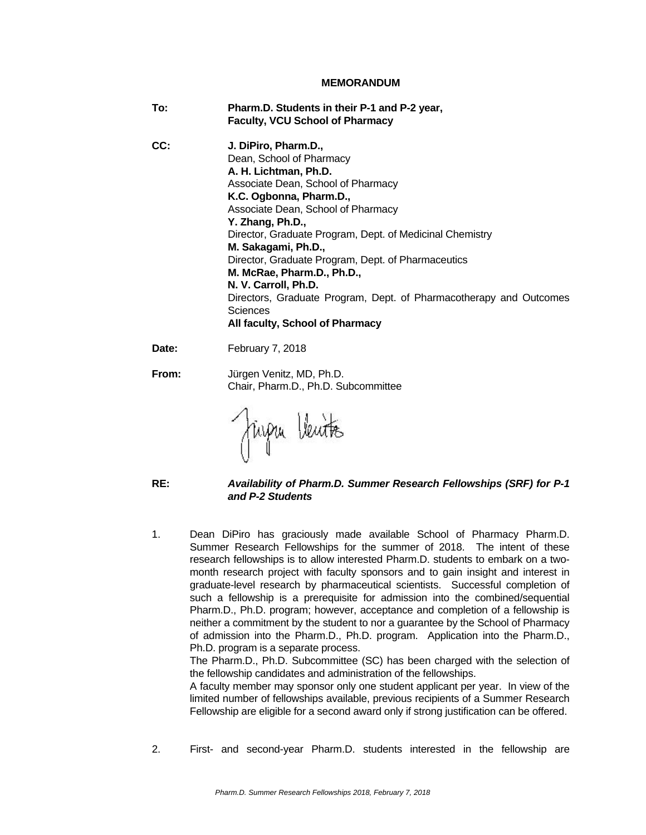#### **MEMORANDUM**

**To: Pharm.D. Students in their P-1 and P-2 year, Faculty, VCU School of Pharmacy CC: J. DiPiro, Pharm.D.,** Dean, School of Pharmacy **A. H. Lichtman, Ph.D.**  Associate Dean, School of Pharmacy **K.C. Ogbonna, Pharm.D.,**  Associate Dean, School of Pharmacy **Y. Zhang, Ph.D.,**  Director, Graduate Program, Dept. of Medicinal Chemistry **M. Sakagami, Ph.D.,**  Director, Graduate Program, Dept. of Pharmaceutics **M. McRae, Pharm.D., Ph.D., N. V. Carroll, Ph.D.**  Directors, Graduate Program, Dept. of Pharmacotherapy and Outcomes **Sciences All faculty, School of Pharmacy** Date: February 7, 2018 **From:** Jürgen Venitz, MD, Ph.D. Chair, Pharm.D., Ph.D. Subcommittee

Fingu Ventes

## **RE:** *Availability of Pharm.D. Summer Research Fellowships (SRF) for P-1 and P-2 Students*

1. Dean DiPiro has graciously made available School of Pharmacy Pharm.D. Summer Research Fellowships for the summer of 2018. The intent of these research fellowships is to allow interested Pharm.D. students to embark on a twomonth research project with faculty sponsors and to gain insight and interest in graduate-level research by pharmaceutical scientists. Successful completion of such a fellowship is a prerequisite for admission into the combined/sequential Pharm.D., Ph.D. program; however, acceptance and completion of a fellowship is neither a commitment by the student to nor a guarantee by the School of Pharmacy of admission into the Pharm.D., Ph.D. program. Application into the Pharm.D., Ph.D. program is a separate process.

The Pharm.D., Ph.D. Subcommittee (SC) has been charged with the selection of the fellowship candidates and administration of the fellowships.

A faculty member may sponsor only one student applicant per year. In view of the limited number of fellowships available, previous recipients of a Summer Research Fellowship are eligible for a second award only if strong justification can be offered.

2. First- and second-year Pharm.D. students interested in the fellowship are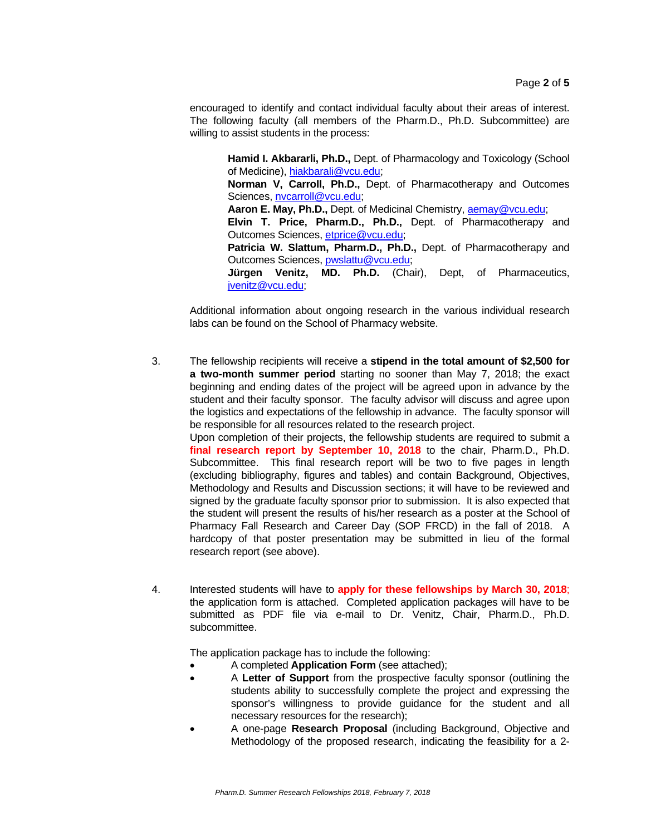encouraged to identify and contact individual faculty about their areas of interest. The following faculty (all members of the Pharm.D., Ph.D. Subcommittee) are willing to assist students in the process:

**Hamid I. Akbararli, Ph.D.,** Dept. of Pharmacology and Toxicology (School of Medicine), hiakbarali@vcu.edu; **Norman V, Carroll, Ph.D.,** Dept. of Pharmacotherapy and Outcomes Sciences, nvcarroll@vcu.edu; **Aaron E. May, Ph.D.,** Dept. of Medicinal Chemistry, aemay@vcu.edu;  **Elvin T. Price, Pharm.D., Ph.D.,** Dept. of Pharmacotherapy and Outcomes Sciences, etprice@vcu.edu; **Patricia W. Slattum, Pharm.D., Ph.D.,** Dept. of Pharmacotherapy and Outcomes Sciences, pwslattu@vcu.edu; **Jürgen Venitz, MD. Ph.D.** (Chair), Dept, of Pharmaceutics, jvenitz@vcu.edu;

 Additional information about ongoing research in the various individual research labs can be found on the School of Pharmacy website.

3. The fellowship recipients will receive a **stipend in the total amount of \$2,500 for a two-month summer period** starting no sooner than May 7, 2018; the exact beginning and ending dates of the project will be agreed upon in advance by the student and their faculty sponsor. The faculty advisor will discuss and agree upon the logistics and expectations of the fellowship in advance. The faculty sponsor will be responsible for all resources related to the research project.

Upon completion of their projects, the fellowship students are required to submit a **final research report by September 10, 2018** to the chair, Pharm.D., Ph.D. Subcommittee. This final research report will be two to five pages in length (excluding bibliography, figures and tables) and contain Background, Objectives, Methodology and Results and Discussion sections; it will have to be reviewed and signed by the graduate faculty sponsor prior to submission. It is also expected that the student will present the results of his/her research as a poster at the School of Pharmacy Fall Research and Career Day (SOP FRCD) in the fall of 2018. A hardcopy of that poster presentation may be submitted in lieu of the formal research report (see above).

4. Interested students will have to **apply for these fellowships by March 30, 2018**; the application form is attached. Completed application packages will have to be submitted as PDF file via e-mail to Dr. Venitz, Chair, Pharm.D., Ph.D. subcommittee.

The application package has to include the following:

- A completed **Application Form** (see attached);
- A **Letter of Support** from the prospective faculty sponsor (outlining the students ability to successfully complete the project and expressing the sponsor's willingness to provide guidance for the student and all necessary resources for the research);
- A one-page **Research Proposal** (including Background, Objective and Methodology of the proposed research, indicating the feasibility for a 2-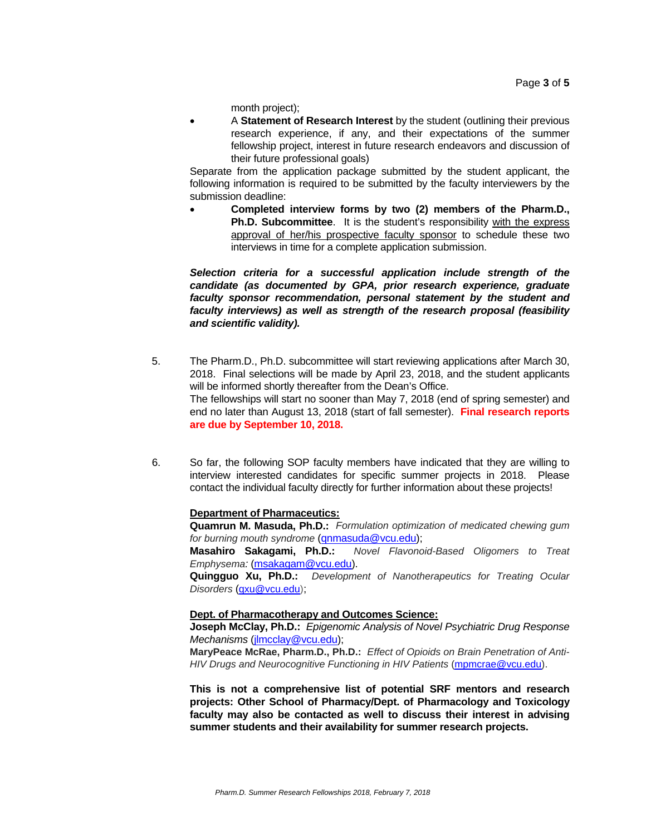month project);

 A **Statement of Research Interest** by the student (outlining their previous research experience, if any, and their expectations of the summer fellowship project, interest in future research endeavors and discussion of their future professional goals)

Separate from the application package submitted by the student applicant, the following information is required to be submitted by the faculty interviewers by the submission deadline:

 **Completed interview forms by two (2) members of the Pharm.D., Ph.D. Subcommittee.** It is the student's responsibility with the express approval of her/his prospective faculty sponsor to schedule these two interviews in time for a complete application submission.

*Selection criteria for a successful application include strength of the candidate (as documented by GPA, prior research experience, graduate faculty sponsor recommendation, personal statement by the student and faculty interviews) as well as strength of the research proposal (feasibility and scientific validity).* 

- 5. The Pharm.D., Ph.D. subcommittee will start reviewing applications after March 30, 2018. Final selections will be made by April 23, 2018, and the student applicants will be informed shortly thereafter from the Dean's Office. The fellowships will start no sooner than May 7, 2018 (end of spring semester) and end no later than August 13, 2018 (start of fall semester). **Final research reports are due by September 10, 2018.**
- 6. So far, the following SOP faculty members have indicated that they are willing to interview interested candidates for specific summer projects in 2018. Please contact the individual faculty directly for further information about these projects!

#### **Department of Pharmaceutics:**

**Quamrun M. Masuda, Ph.D.:** *Formulation optimization of medicated chewing gum for burning mouth syndrome* (qnmasuda@vcu.edu);

**Masahiro Sakagami, Ph.D.:** *Novel Flavonoid-Based Oligomers to Treat Emphysema:* (msakagam@vcu.edu).

**Quingguo Xu, Ph.D.:** *Development of Nanotherapeutics for Treating Ocular Disorders* (qxu@vcu.edu);

### **Dept. of Pharmacotherapy and Outcomes Science:**

**Joseph McClay, Ph.D.:** *Epigenomic Analysis of Novel Psychiatric Drug Response Mechanisms* (jlmcclay@vcu.edu);

**MaryPeace McRae, Pharm.D., Ph.D.:** *Effect of Opioids on Brain Penetration of Anti-*HIV Drugs and Neurocognitive Functioning in HIV Patients (mpmcrae@vcu.edu).

**This is not a comprehensive list of potential SRF mentors and research projects: Other School of Pharmacy/Dept. of Pharmacology and Toxicology faculty may also be contacted as well to discuss their interest in advising summer students and their availability for summer research projects.**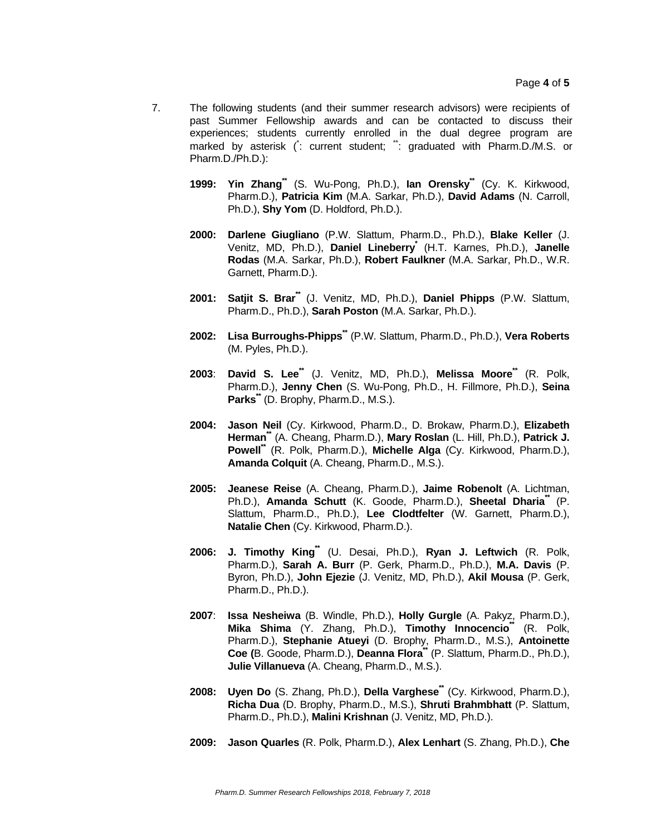- 7. The following students (and their summer research advisors) were recipients of past Summer Fellowship awards and can be contacted to discuss their experiences; students currently enrolled in the dual degree program are marked by asterisk (: current student; ": graduated with Pharm.D./M.S. or Pharm.D./Ph.D.):
	- **1999: Yin Zhang\*\*** (S. Wu-Pong, Ph.D.), **Ian Orensky\*\*** (Cy. K. Kirkwood, Pharm.D.), **Patricia Kim** (M.A. Sarkar, Ph.D.), **David Adams** (N. Carroll, Ph.D.), **Shy Yom** (D. Holdford, Ph.D.).
	- **2000: Darlene Giugliano** (P.W. Slattum, Pharm.D., Ph.D.), **Blake Keller** (J. Venitz, MD, Ph.D.), **Daniel Lineberry\*** (H.T. Karnes, Ph.D.), **Janelle Rodas** (M.A. Sarkar, Ph.D.), **Robert Faulkner** (M.A. Sarkar, Ph.D., W.R. Garnett, Pharm.D.).
	- **2001: Satjit S. Brar\*\*** (J. Venitz, MD, Ph.D.), **Daniel Phipps** (P.W. Slattum, Pharm.D., Ph.D.), **Sarah Poston** (M.A. Sarkar, Ph.D.).
	- **2002: Lisa Burroughs-Phipps\*\*** (P.W. Slattum, Pharm.D., Ph.D.), **Vera Roberts**  (M. Pyles, Ph.D.).
	- **2003**: **David S. Lee\*\*** (J. Venitz, MD, Ph.D.), **Melissa Moore\*\*** (R. Polk, Pharm.D.), **Jenny Chen** (S. Wu-Pong, Ph.D., H. Fillmore, Ph.D.), **Seina Parks\*\*** (D. Brophy, Pharm.D., M.S.).
	- **2004: Jason Neil** (Cy. Kirkwood, Pharm.D., D. Brokaw, Pharm.D.), **Elizabeth Herman\*\*** (A. Cheang, Pharm.D.), **Mary Roslan** (L. Hill, Ph.D.), **Patrick J. Powell\*\*** (R. Polk, Pharm.D.), **Michelle Alga** (Cy. Kirkwood, Pharm.D.), **Amanda Colquit** (A. Cheang, Pharm.D., M.S.).
	- **2005: Jeanese Reise** (A. Cheang, Pharm.D.), **Jaime Robenolt** (A. Lichtman, Ph.D.), **Amanda Schutt** (K. Goode, Pharm.D.), **Sheetal Dharia**<sup>\*</sup> (P. Slattum, Pharm.D., Ph.D.), **Lee Clodtfelter** (W. Garnett, Pharm.D.), **Natalie Chen** (Cy. Kirkwood, Pharm.D.).
	- **2006: J. Timothy King\*\*** (U. Desai, Ph.D.), **Ryan J. Leftwich** (R. Polk, Pharm.D.), **Sarah A. Burr** (P. Gerk, Pharm.D., Ph.D.), **M.A. Davis** (P. Byron, Ph.D.), **John Ejezie** (J. Venitz, MD, Ph.D.), **Akil Mousa** (P. Gerk, Pharm.D., Ph.D.).
	- **2007**: **Issa Nesheiwa** (B. Windle, Ph.D.), **Holly Gurgle** (A. Pakyz, Pharm.D.), **Mika Shima** (Y. Zhang, Ph.D.), **Timothy Innocencio\*\*** (R. Polk, Pharm.D.), **Stephanie Atueyi** (D. Brophy, Pharm.D., M.S.), **Antoinette Coe (**B. Goode, Pharm.D.), **Deanna Flora\*\*** (P. Slattum, Pharm.D., Ph.D.), **Julie Villanueva** (A. Cheang, Pharm.D., M.S.).
	- **2008: Uyen Do** (S. Zhang, Ph.D.), **Della Varghese<sup>\*\*</sup> (Cy. Kirkwood, Pharm.D.), Richa Dua** (D. Brophy, Pharm.D., M.S.), **Shruti Brahmbhatt** (P. Slattum, Pharm.D., Ph.D.), **Malini Krishnan** (J. Venitz, MD, Ph.D.).
	- **2009: Jason Quarles** (R. Polk, Pharm.D.), **Alex Lenhart** (S. Zhang, Ph.D.), **Che**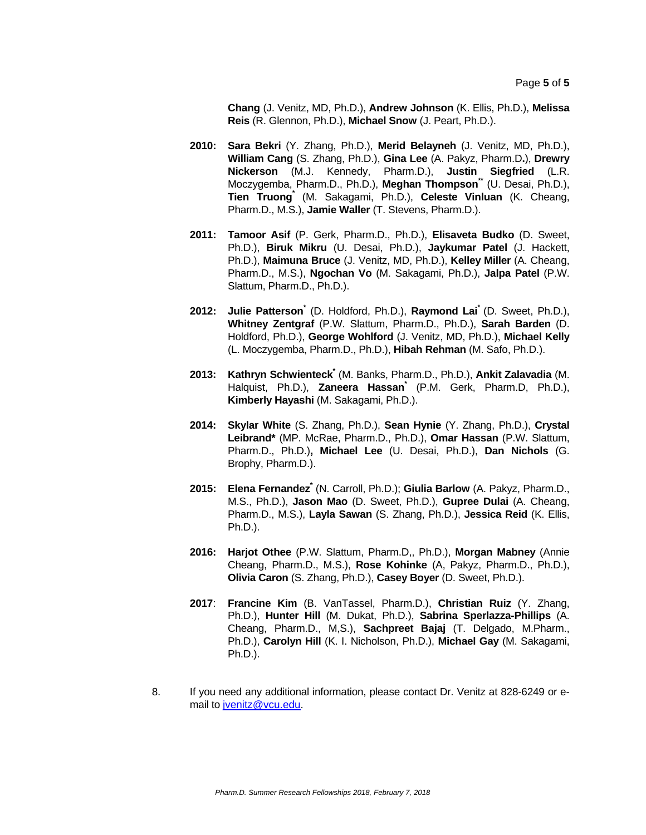**Chang** (J. Venitz, MD, Ph.D.), **Andrew Johnson** (K. Ellis, Ph.D.), **Melissa Reis** (R. Glennon, Ph.D.), **Michael Snow** (J. Peart, Ph.D.).

- **2010: Sara Bekri** (Y. Zhang, Ph.D.), **Merid Belayneh** (J. Venitz, MD, Ph.D.), **William Cang** (S. Zhang, Ph.D.), **Gina Lee** (A. Pakyz, Pharm.D**.**), **Drewry Nickerson** (M.J. Kennedy, Pharm.D.), **Justin Siegfried** (L.R. Moczygemba, Pharm.D., Ph.D.), **Meghan Thompson\*\*** (U. Desai, Ph.D.), **Tien Truong\*** (M. Sakagami, Ph.D.), **Celeste Vinluan** (K. Cheang, Pharm.D., M.S.), **Jamie Waller** (T. Stevens, Pharm.D.).
- **2011: Tamoor Asif** (P. Gerk, Pharm.D., Ph.D.), **Elisaveta Budko** (D. Sweet, Ph.D.), **Biruk Mikru** (U. Desai, Ph.D.), **Jaykumar Patel** (J. Hackett, Ph.D.), **Maimuna Bruce** (J. Venitz, MD, Ph.D.), **Kelley Miller** (A. Cheang, Pharm.D., M.S.), **Ngochan Vo** (M. Sakagami, Ph.D.), **Jalpa Patel** (P.W. Slattum, Pharm.D., Ph.D.).
- **2012: Julie Patterson\*** (D. Holdford, Ph.D.), **Raymond Lai\*** (D. Sweet, Ph.D.), **Whitney Zentgraf** (P.W. Slattum, Pharm.D., Ph.D.), **Sarah Barden** (D. Holdford, Ph.D.), **George Wohlford** (J. Venitz, MD, Ph.D.), **Michael Kelly**  (L. Moczygemba, Pharm.D., Ph.D.), **Hibah Rehman** (M. Safo, Ph.D.).
- **2013: Kathryn Schwienteck\*** (M. Banks, Pharm.D., Ph.D.), **Ankit Zalavadia** (M. Halquist, Ph.D.), **Zaneera Hassan\*** (P.M. Gerk, Pharm.D, Ph.D.), **Kimberly Hayashi** (M. Sakagami, Ph.D.).
- **2014: Skylar White** (S. Zhang, Ph.D.), **Sean Hynie** (Y. Zhang, Ph.D.), **Crystal Leibrand\*** (MP. McRae, Pharm.D., Ph.D.), **Omar Hassan** (P.W. Slattum, Pharm.D., Ph.D.)**, Michael Lee** (U. Desai, Ph.D.), **Dan Nichols** (G. Brophy, Pharm.D.).
- **2015: Elena Fernandez\*** (N. Carroll, Ph.D.); **Giulia Barlow** (A. Pakyz, Pharm.D., M.S., Ph.D.), **Jason Mao** (D. Sweet, Ph.D.), **Gupree Dulai** (A. Cheang, Pharm.D., M.S.), **Layla Sawan** (S. Zhang, Ph.D.), **Jessica Reid** (K. Ellis, Ph.D.).
- **2016: Harjot Othee** (P.W. Slattum, Pharm.D,, Ph.D.), **Morgan Mabney** (Annie Cheang, Pharm.D., M.S.), **Rose Kohinke** (A, Pakyz, Pharm.D., Ph.D.), **Olivia Caron** (S. Zhang, Ph.D.), **Casey Boyer** (D. Sweet, Ph.D.).
- **2017**: **Francine Kim** (B. VanTassel, Pharm.D.), **Christian Ruiz** (Y. Zhang, Ph.D.), **Hunter Hill** (M. Dukat, Ph.D.), **Sabrina Sperlazza-Phillips** (A. Cheang, Pharm.D., M,S.), **Sachpreet Bajaj** (T. Delgado, M.Pharm., Ph.D.), **Carolyn Hill** (K. I. Nicholson, Ph.D.), **Michael Gay** (M. Sakagami, Ph.D.).
- 8. If you need any additional information, please contact Dr. Venitz at 828-6249 or email to jvenitz@vcu.edu.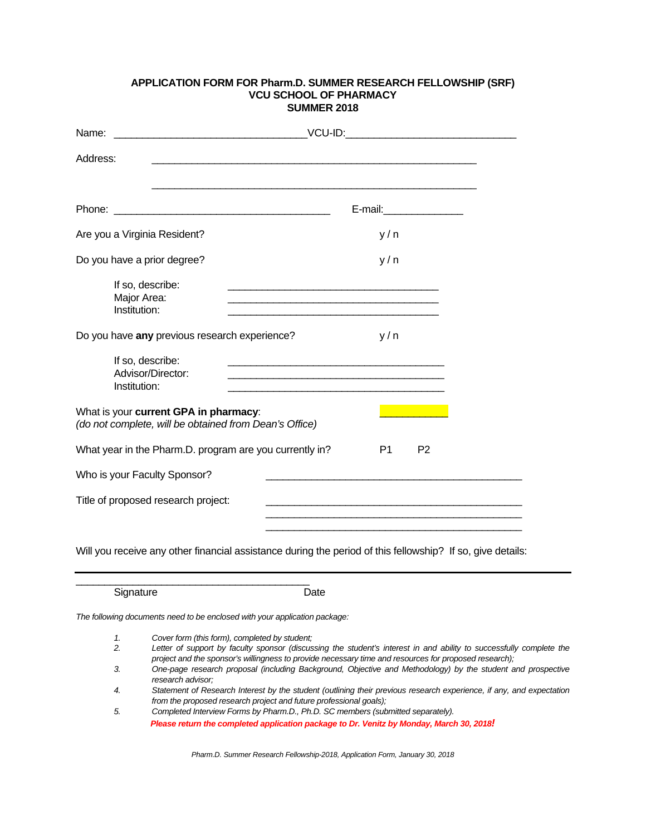### **APPLICATION FORM FOR Pharm.D. SUMMER RESEARCH FELLOWSHIP (SRF) VCU SCHOOL OF PHARMACY SUMMER 2018**

| Address:                                                                                        |                                  |
|-------------------------------------------------------------------------------------------------|----------------------------------|
|                                                                                                 |                                  |
|                                                                                                 | E-mail:__________________        |
| Are you a Virginia Resident?                                                                    | y/n                              |
| Do you have a prior degree?                                                                     | y/n                              |
| If so, describe:<br>Major Area:<br>Institution:                                                 |                                  |
| Do you have any previous research experience?                                                   | y/n                              |
| If so, describe:<br>Advisor/Director:<br>Institution:                                           |                                  |
| What is your current GPA in pharmacy:<br>(do not complete, will be obtained from Dean's Office) |                                  |
| What year in the Pharm.D. program are you currently in?                                         | P <sub>1</sub><br>P <sub>2</sub> |
| Who is your Faculty Sponsor?                                                                    |                                  |
| Title of proposed research project:                                                             |                                  |
|                                                                                                 |                                  |

Will you receive any other financial assistance during the period of this fellowship? If so, give details:

Signature Date

*The following documents need to be enclosed with your application package:* 

\_\_\_\_\_\_\_\_\_\_\_\_\_\_\_\_\_\_\_\_\_\_\_\_\_\_\_\_\_\_\_\_\_\_\_\_\_\_\_\_\_

*1. Cover form (this form), completed by student;* 

- *2. Letter of support by faculty sponsor (discussing the student's interest in and ability to successfully complete the project and the sponsor's willingness to provide necessary time and resources for proposed research);*
- *3. One-page research proposal (including Background, Objective and Methodology) by the student and prospective research advisor;*
- *4. Statement of Research Interest by the student (outlining their previous research experience, if any, and expectation from the proposed research project and future professional goals);*
- *5. Completed Interview Forms by Pharm.D., Ph.D. SC members (submitted separately).*

*Please return the completed application package to Dr. Venitz by Monday, March 30, 2018!* 

*Pharm.D. Summer Research Fellowship-2018, Application Form, January 30, 2018*